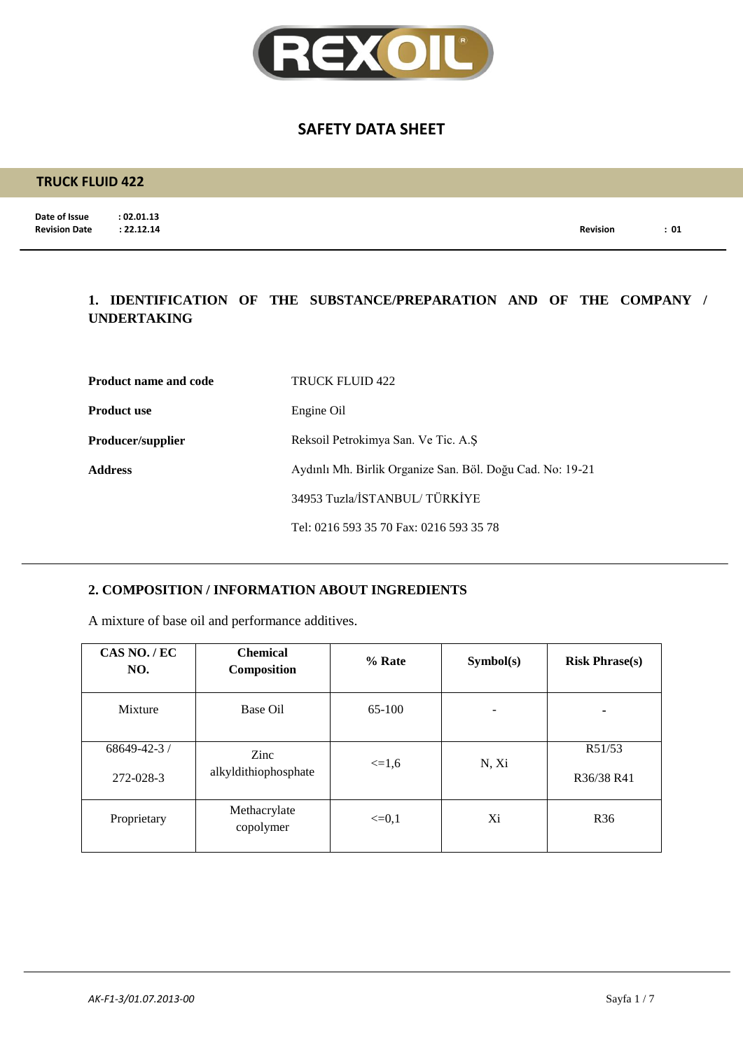

### **TRUCK FLUID 422**

**Date of Issue : 02.01.13**<br>**Revision Date : 22.12.14** 

**Revision Date : 22.12.14 Revision : 01**

### **1. IDENTIFICATION OF THE SUBSTANCE/PREPARATION AND OF THE COMPANY / UNDERTAKING**

| <b>Product name and code</b> | TRUCK FLUID 422                                           |
|------------------------------|-----------------------------------------------------------|
| <b>Product use</b>           | Engine Oil                                                |
| <b>Producer/supplier</b>     | Reksoil Petrokimya San. Ve Tic. A.S.                      |
| <b>Address</b>               | Aydınlı Mh. Birlik Organize San. Böl. Doğu Cad. No: 19-21 |
|                              | 34953 Tuzla/İSTANBUL/ TÜRKİYE                             |
|                              | Tel: 0216 593 35 70 Fax: 0216 593 35 78                   |

### **2. COMPOSITION / INFORMATION ABOUT INGREDIENTS**

A mixture of base oil and performance additives.

| CAS NO./EC<br>NO.               | <b>Chemical</b><br>Composition | % Rate     | Symbol(s) | <b>Risk Phrase(s)</b> |
|---------------------------------|--------------------------------|------------|-----------|-----------------------|
| Mixture                         | Base Oil                       | 65-100     |           | ۰                     |
| $68649 - 42 - 3$ /<br>272-028-3 | Zinc<br>alkyldithiophosphate   | $\leq 1.6$ | N, Xi     | R51/53<br>R36/38 R41  |
| Proprietary                     | Methacrylate<br>copolymer      | $\leq=0.1$ | Xi        | R <sub>36</sub>       |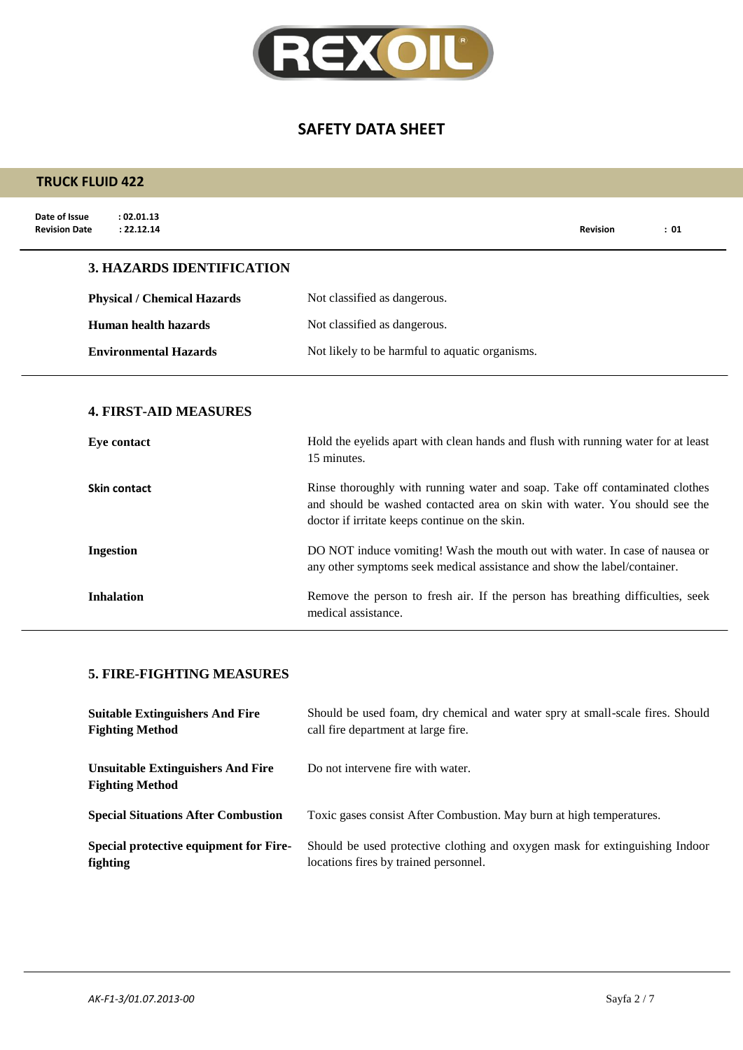

| <b>TRUCK FLUID 422</b>                                            |                                                                                                                                                                                                             |  |  |
|-------------------------------------------------------------------|-------------------------------------------------------------------------------------------------------------------------------------------------------------------------------------------------------------|--|--|
| Date of Issue<br>: 02.01.13<br><b>Revision Date</b><br>: 22.12.14 | <b>Revision</b><br>: 01                                                                                                                                                                                     |  |  |
| <b>3. HAZARDS IDENTIFICATION</b>                                  |                                                                                                                                                                                                             |  |  |
| <b>Physical / Chemical Hazards</b>                                | Not classified as dangerous.                                                                                                                                                                                |  |  |
| <b>Human health hazards</b>                                       | Not classified as dangerous.                                                                                                                                                                                |  |  |
| <b>Environmental Hazards</b>                                      | Not likely to be harmful to aquatic organisms.                                                                                                                                                              |  |  |
| <b>4. FIRST-AID MEASURES</b><br>Eye contact                       | Hold the eyelids apart with clean hands and flush with running water for at least<br>15 minutes.                                                                                                            |  |  |
| <b>Skin contact</b>                                               | Rinse thoroughly with running water and soap. Take off contaminated clothes<br>and should be washed contacted area on skin with water. You should see the<br>doctor if irritate keeps continue on the skin. |  |  |
| <b>Ingestion</b>                                                  | DO NOT induce vomiting! Wash the mouth out with water. In case of nausea or<br>any other symptoms seek medical assistance and show the label/container.                                                     |  |  |
| <b>Inhalation</b>                                                 | Remove the person to fresh air. If the person has breathing difficulties, seek<br>medical assistance.                                                                                                       |  |  |

### **5. FIRE-FIGHTING MEASURES**

| <b>Suitable Extinguishers And Fire</b>                             | Should be used foam, dry chemical and water spry at small-scale fires. Should |
|--------------------------------------------------------------------|-------------------------------------------------------------------------------|
| <b>Fighting Method</b>                                             | call fire department at large fire.                                           |
| <b>Unsuitable Extinguishers And Fire</b><br><b>Fighting Method</b> | Do not intervene fire with water.                                             |
| <b>Special Situations After Combustion</b>                         | Toxic gases consist After Combustion. May burn at high temperatures.          |
| Special protective equipment for Fire-                             | Should be used protective clothing and oxygen mask for extinguishing Indoor   |
| fighting                                                           | locations fires by trained personnel.                                         |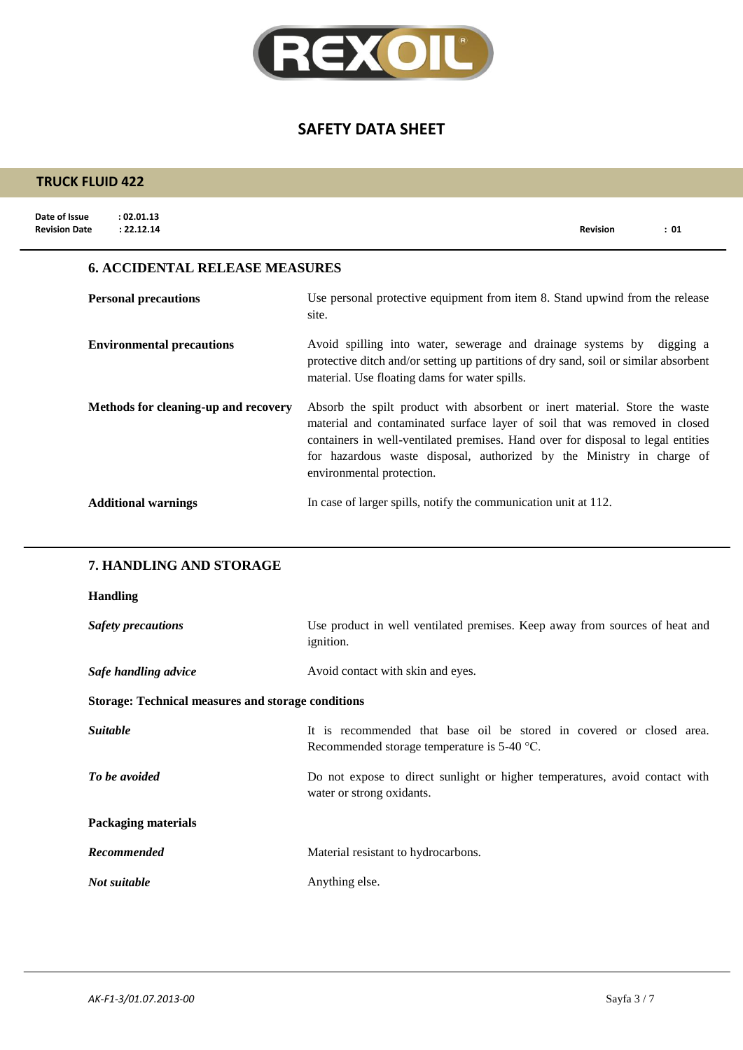

| <b>TRUCK FLUID 422</b>                                            |                                                                                                                                                                                                                                                                                                                                                    |
|-------------------------------------------------------------------|----------------------------------------------------------------------------------------------------------------------------------------------------------------------------------------------------------------------------------------------------------------------------------------------------------------------------------------------------|
| Date of Issue<br>: 02.01.13<br>: 22.12.14<br><b>Revision Date</b> | : 01<br>Revision                                                                                                                                                                                                                                                                                                                                   |
| <b>6. ACCIDENTAL RELEASE MEASURES</b>                             |                                                                                                                                                                                                                                                                                                                                                    |
| <b>Personal precautions</b>                                       | Use personal protective equipment from item 8. Stand upwind from the release<br>site.                                                                                                                                                                                                                                                              |
| <b>Environmental precautions</b>                                  | Avoid spilling into water, sewerage and drainage systems by digging a<br>protective ditch and/or setting up partitions of dry sand, soil or similar absorbent<br>material. Use floating dams for water spills.                                                                                                                                     |
| Methods for cleaning-up and recovery                              | Absorb the spilt product with absorbent or inert material. Store the waste<br>material and contaminated surface layer of soil that was removed in closed<br>containers in well-ventilated premises. Hand over for disposal to legal entities<br>for hazardous waste disposal, authorized by the Ministry in charge of<br>environmental protection. |
| <b>Additional warnings</b>                                        | In case of larger spills, notify the communication unit at 112.                                                                                                                                                                                                                                                                                    |
| 7. HANDLING AND STORAGE                                           |                                                                                                                                                                                                                                                                                                                                                    |
| <b>Handling</b>                                                   |                                                                                                                                                                                                                                                                                                                                                    |
| <b>Safety precautions</b>                                         | Use product in well ventilated premises. Keep away from sources of heat and<br>ignition.                                                                                                                                                                                                                                                           |
| Safe handling advice                                              | Avoid contact with skin and eyes.                                                                                                                                                                                                                                                                                                                  |
| <b>Storage: Technical measures and storage conditions</b>         |                                                                                                                                                                                                                                                                                                                                                    |
| Suitable                                                          | It is recommended that base oil be stored in covered or closed area.<br>Recommended storage temperature is 5-40 °C.                                                                                                                                                                                                                                |
| To be avoided                                                     | Do not expose to direct sunlight or higher temperatures, avoid contact with<br>water or strong oxidants.                                                                                                                                                                                                                                           |
| <b>Packaging materials</b>                                        |                                                                                                                                                                                                                                                                                                                                                    |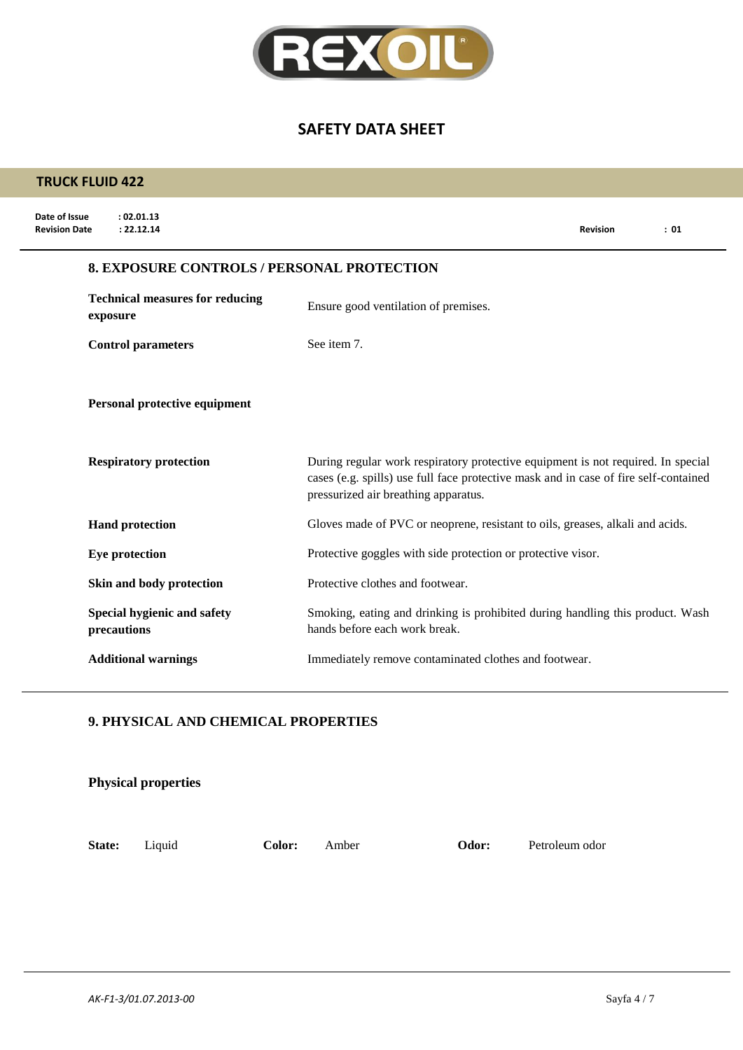

| <b>TRUCK FLUID 422</b>                                            |                                                                                                                                                                                                                  |
|-------------------------------------------------------------------|------------------------------------------------------------------------------------------------------------------------------------------------------------------------------------------------------------------|
| Date of Issue<br>: 02.01.13<br>: 22.12.14<br><b>Revision Date</b> | : 01<br><b>Revision</b>                                                                                                                                                                                          |
| <b>8. EXPOSURE CONTROLS / PERSONAL PROTECTION</b>                 |                                                                                                                                                                                                                  |
| <b>Technical measures for reducing</b><br>exposure                | Ensure good ventilation of premises.                                                                                                                                                                             |
| <b>Control parameters</b>                                         | See item 7.                                                                                                                                                                                                      |
| Personal protective equipment<br><b>Respiratory protection</b>    | During regular work respiratory protective equipment is not required. In special<br>cases (e.g. spills) use full face protective mask and in case of fire self-contained<br>pressurized air breathing apparatus. |
| <b>Hand protection</b>                                            | Gloves made of PVC or neoprene, resistant to oils, greases, alkali and acids.                                                                                                                                    |
| Eye protection                                                    | Protective goggles with side protection or protective visor.                                                                                                                                                     |
| Skin and body protection                                          | Protective clothes and footwear.                                                                                                                                                                                 |
| Special hygienic and safety<br>precautions                        | Smoking, eating and drinking is prohibited during handling this product. Wash<br>hands before each work break.                                                                                                   |
| <b>Additional warnings</b>                                        | Immediately remove contaminated clothes and footwear.                                                                                                                                                            |

### **9. PHYSICAL AND CHEMICAL PROPERTIES**

|        | <b>Physical properties</b> |        |       |       |                |
|--------|----------------------------|--------|-------|-------|----------------|
| State: | Liquid                     | Color: | Amber | Odor: | Petroleum odor |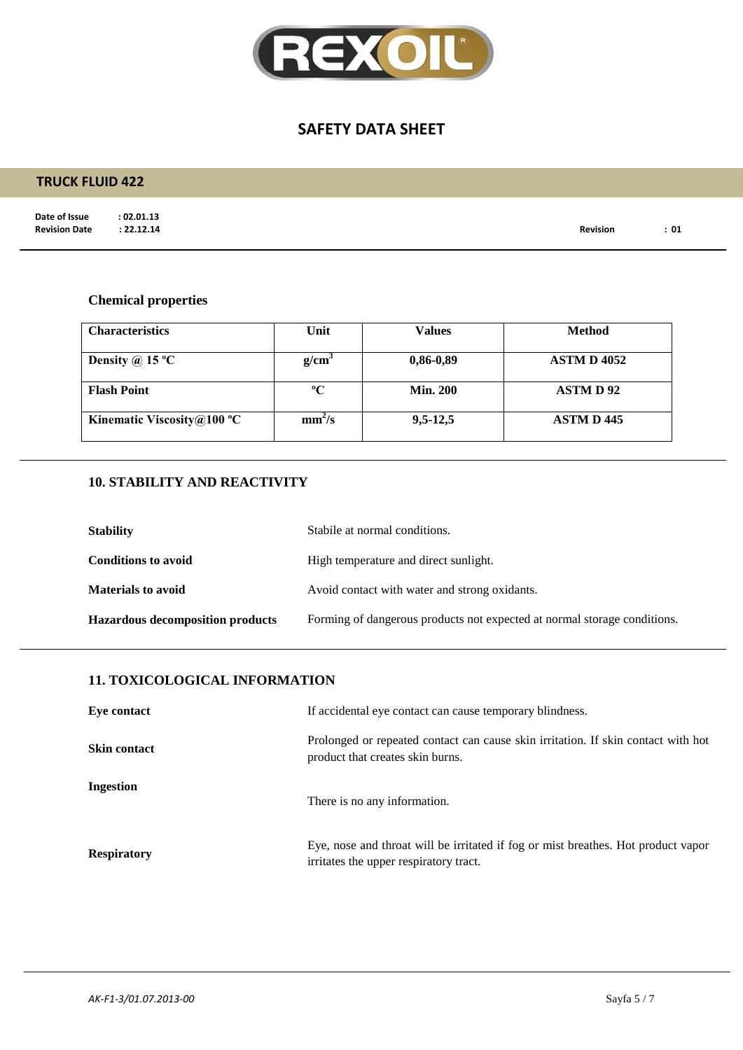

### **TRUCK FLUID 422**

**Date of Issue : 02.01.13<br>Revision Date : 22.12.14** 

**Revision Date : 22.12.14 Revision : 01**

## **Chemical properties**

| <b>Characteristics</b>     | Unit               | <b>Values</b>   | <b>Method</b>      |
|----------------------------|--------------------|-----------------|--------------------|
| Density @ 15 $^{\circ}$ C  | g/cm <sup>3</sup>  | $0,86-0,89$     | <b>ASTM D 4052</b> |
| <b>Flash Point</b>         | $\mathbf{C}$       | <b>Min. 200</b> | <b>ASTMD92</b>     |
| Kinematic Viscosity@100 °C | mm <sup>2</sup> /s | $9,5-12,5$      | <b>ASTM D 445</b>  |

### **10. STABILITY AND REACTIVITY**

| <b>Stability</b>                        | Stabile at normal conditions.                                            |
|-----------------------------------------|--------------------------------------------------------------------------|
| <b>Conditions to avoid</b>              | High temperature and direct sunlight.                                    |
| <b>Materials to avoid</b>               | Avoid contact with water and strong oxidants.                            |
| <b>Hazardous decomposition products</b> | Forming of dangerous products not expected at normal storage conditions. |

### **11. TOXICOLOGICAL INFORMATION**

| Eye contact         | If accidental eye contact can cause temporary blindness.                                                                    |
|---------------------|-----------------------------------------------------------------------------------------------------------------------------|
| <b>Skin contact</b> | Prolonged or repeated contact can cause skin irritation. If skin contact with hot<br>product that creates skin burns.       |
| Ingestion           | There is no any information.                                                                                                |
| <b>Respiratory</b>  | Eye, nose and throat will be irritated if fog or mist breathes. Hot product vapor<br>irritates the upper respiratory tract. |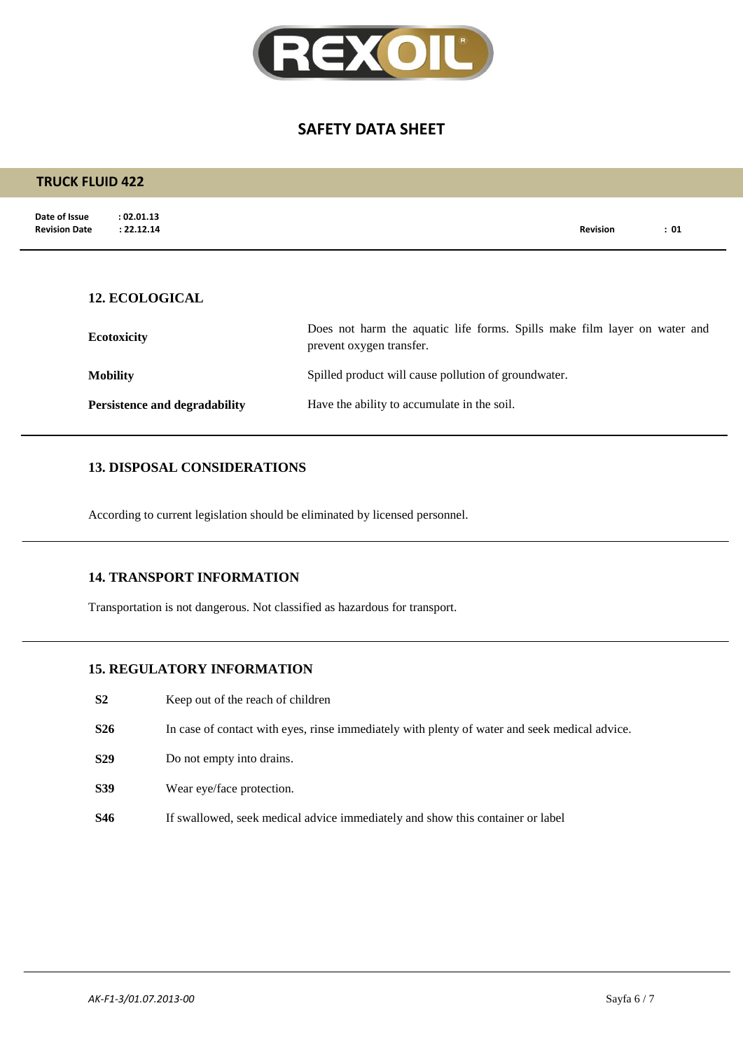

| <b>TRUCK FLUID 422</b>                                            |                                                                                                       |                 |      |
|-------------------------------------------------------------------|-------------------------------------------------------------------------------------------------------|-----------------|------|
| Date of Issue<br>: 02.01.13<br><b>Revision Date</b><br>: 22.12.14 |                                                                                                       | <b>Revision</b> | : 01 |
|                                                                   |                                                                                                       |                 |      |
| <b>12. ECOLOGICAL</b>                                             |                                                                                                       |                 |      |
| <b>Ecotoxicity</b>                                                | Does not harm the aquatic life forms. Spills make film layer on water and<br>prevent oxygen transfer. |                 |      |
| <b>Mobility</b>                                                   | Spilled product will cause pollution of groundwater.                                                  |                 |      |
| <b>Persistence and degradability</b>                              | Have the ability to accumulate in the soil.                                                           |                 |      |

#### **13. DISPOSAL CONSIDERATIONS**

According to current legislation should be eliminated by licensed personnel.

#### **14. TRANSPORT INFORMATION**

Transportation is not dangerous. Not classified as hazardous for transport.

#### **15. REGULATORY INFORMATION**

- **S2** Keep out of the reach of children
- **S26** In case of contact with eyes, rinse immediately with plenty of water and seek medical advice.
- **S29** Do not empty into drains.
- **S39** Wear eye/face protection.
- **S46** If swallowed, seek medical advice immediately and show this container or label